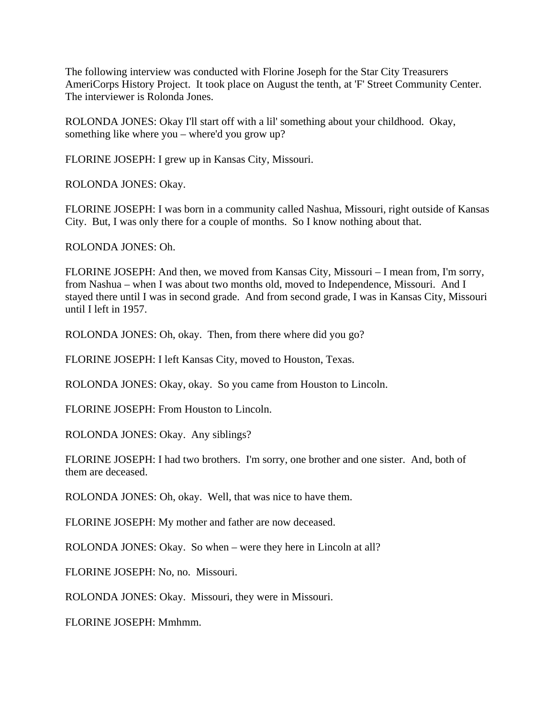The following interview was conducted with Florine Joseph for the Star City Treasurers AmeriCorps History Project. It took place on August the tenth, at 'F' Street Community Center. The interviewer is Rolonda Jones.

ROLONDA JONES: Okay I'll start off with a lil' something about your childhood. Okay, something like where you – where'd you grow up?

FLORINE JOSEPH: I grew up in Kansas City, Missouri.

ROLONDA JONES: Okay.

FLORINE JOSEPH: I was born in a community called Nashua, Missouri, right outside of Kansas City. But, I was only there for a couple of months. So I know nothing about that.

ROLONDA JONES: Oh.

FLORINE JOSEPH: And then, we moved from Kansas City, Missouri – I mean from, I'm sorry, from Nashua – when I was about two months old, moved to Independence, Missouri. And I stayed there until I was in second grade. And from second grade, I was in Kansas City, Missouri until I left in 1957.

ROLONDA JONES: Oh, okay. Then, from there where did you go?

FLORINE JOSEPH: I left Kansas City, moved to Houston, Texas.

ROLONDA JONES: Okay, okay. So you came from Houston to Lincoln.

FLORINE JOSEPH: From Houston to Lincoln.

ROLONDA JONES: Okay. Any siblings?

FLORINE JOSEPH: I had two brothers. I'm sorry, one brother and one sister. And, both of them are deceased.

ROLONDA JONES: Oh, okay. Well, that was nice to have them.

FLORINE JOSEPH: My mother and father are now deceased.

ROLONDA JONES: Okay. So when – were they here in Lincoln at all?

FLORINE JOSEPH: No, no. Missouri.

ROLONDA JONES: Okay. Missouri, they were in Missouri.

FLORINE JOSEPH: Mmhmm.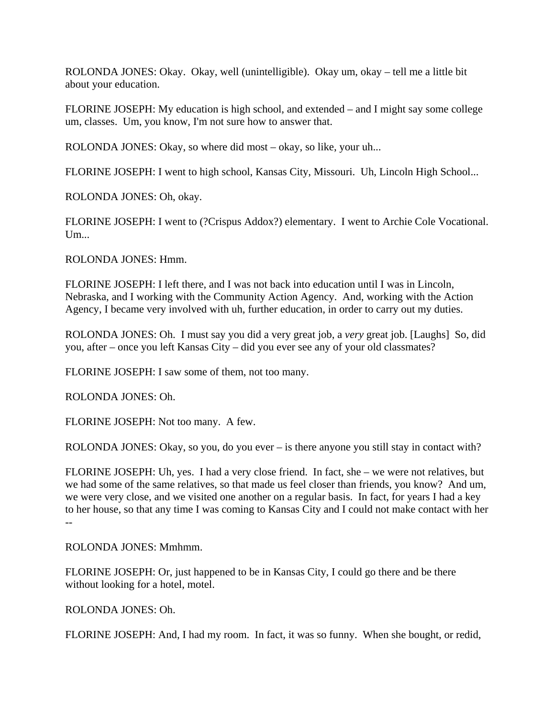ROLONDA JONES: Okay. Okay, well (unintelligible). Okay um, okay – tell me a little bit about your education.

FLORINE JOSEPH: My education is high school, and extended – and I might say some college um, classes. Um, you know, I'm not sure how to answer that.

ROLONDA JONES: Okay, so where did most – okay, so like, your uh...

FLORINE JOSEPH: I went to high school, Kansas City, Missouri. Uh, Lincoln High School...

ROLONDA JONES: Oh, okay.

FLORINE JOSEPH: I went to (?Crispus Addox?) elementary. I went to Archie Cole Vocational. Um...

ROLONDA JONES: Hmm.

FLORINE JOSEPH: I left there, and I was not back into education until I was in Lincoln, Nebraska, and I working with the Community Action Agency. And, working with the Action Agency, I became very involved with uh, further education, in order to carry out my duties.

ROLONDA JONES: Oh. I must say you did a very great job, a *very* great job. [Laughs] So, did you, after – once you left Kansas City – did you ever see any of your old classmates?

FLORINE JOSEPH: I saw some of them, not too many.

ROLONDA JONES: Oh.

FLORINE JOSEPH: Not too many. A few.

ROLONDA JONES: Okay, so you, do you ever – is there anyone you still stay in contact with?

FLORINE JOSEPH: Uh, yes. I had a very close friend. In fact, she – we were not relatives, but we had some of the same relatives, so that made us feel closer than friends, you know? And um, we were very close, and we visited one another on a regular basis. In fact, for years I had a key to her house, so that any time I was coming to Kansas City and I could not make contact with her

ROLONDA JONES: Mmhmm.

FLORINE JOSEPH: Or, just happened to be in Kansas City, I could go there and be there without looking for a hotel, motel.

ROLONDA JONES: Oh.

--

FLORINE JOSEPH: And, I had my room. In fact, it was so funny. When she bought, or redid,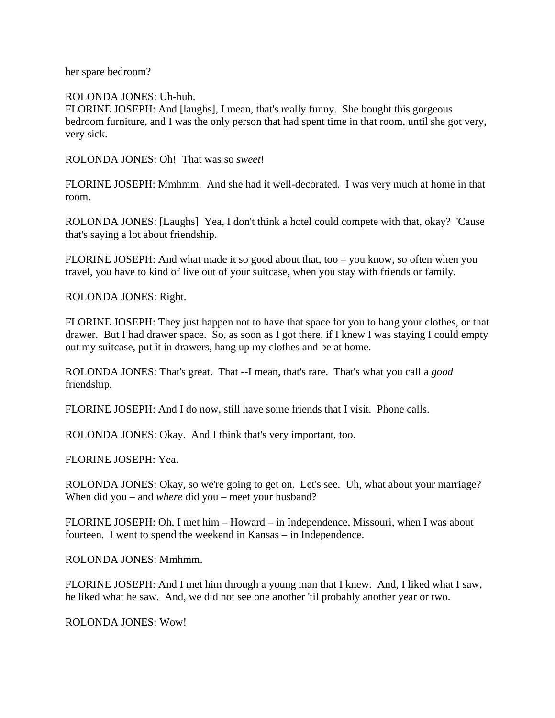her spare bedroom?

ROLONDA JONES: Uh-huh.

FLORINE JOSEPH: And [laughs], I mean, that's really funny. She bought this gorgeous bedroom furniture, and I was the only person that had spent time in that room, until she got very, very sick.

ROLONDA JONES: Oh! That was so *sweet*!

FLORINE JOSEPH: Mmhmm. And she had it well-decorated. I was very much at home in that room.

ROLONDA JONES: [Laughs] Yea, I don't think a hotel could compete with that, okay? 'Cause that's saying a lot about friendship.

FLORINE JOSEPH: And what made it so good about that, too – you know, so often when you travel, you have to kind of live out of your suitcase, when you stay with friends or family.

ROLONDA JONES: Right.

FLORINE JOSEPH: They just happen not to have that space for you to hang your clothes, or that drawer. But I had drawer space. So, as soon as I got there, if I knew I was staying I could empty out my suitcase, put it in drawers, hang up my clothes and be at home.

ROLONDA JONES: That's great. That --I mean, that's rare. That's what you call a *good* friendship.

FLORINE JOSEPH: And I do now, still have some friends that I visit. Phone calls.

ROLONDA JONES: Okay. And I think that's very important, too.

FLORINE JOSEPH: Yea.

ROLONDA JONES: Okay, so we're going to get on. Let's see. Uh, what about your marriage? When did you – and *where* did you – meet your husband?

FLORINE JOSEPH: Oh, I met him – Howard – in Independence, Missouri, when I was about fourteen. I went to spend the weekend in Kansas – in Independence.

ROLONDA JONES: Mmhmm.

FLORINE JOSEPH: And I met him through a young man that I knew. And, I liked what I saw, he liked what he saw. And, we did not see one another 'til probably another year or two.

ROLONDA JONES: Wow!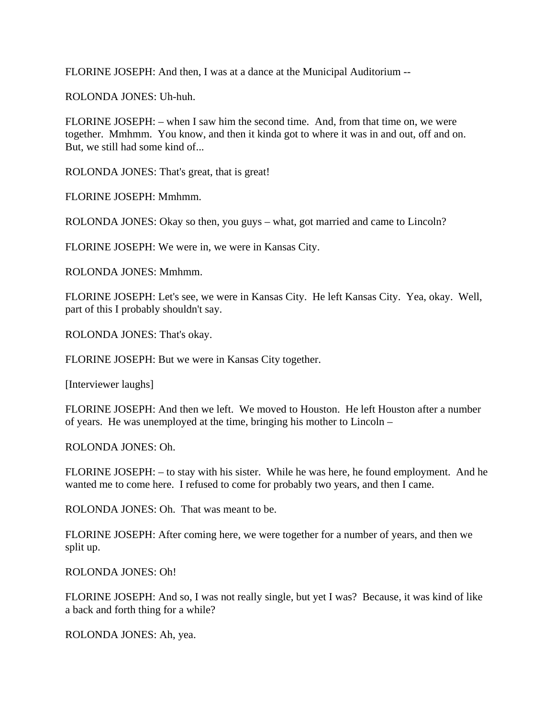FLORINE JOSEPH: And then, I was at a dance at the Municipal Auditorium --

ROLONDA JONES: Uh-huh.

FLORINE JOSEPH: – when I saw him the second time. And, from that time on, we were together. Mmhmm. You know, and then it kinda got to where it was in and out, off and on. But, we still had some kind of...

ROLONDA JONES: That's great, that is great!

FLORINE JOSEPH: Mmhmm.

ROLONDA JONES: Okay so then, you guys – what, got married and came to Lincoln?

FLORINE JOSEPH: We were in, we were in Kansas City.

ROLONDA JONES: Mmhmm.

FLORINE JOSEPH: Let's see, we were in Kansas City. He left Kansas City. Yea, okay. Well, part of this I probably shouldn't say.

ROLONDA JONES: That's okay.

FLORINE JOSEPH: But we were in Kansas City together.

[Interviewer laughs]

FLORINE JOSEPH: And then we left. We moved to Houston. He left Houston after a number of years. He was unemployed at the time, bringing his mother to Lincoln –

ROLONDA JONES: Oh.

FLORINE JOSEPH: – to stay with his sister. While he was here, he found employment. And he wanted me to come here. I refused to come for probably two years, and then I came.

ROLONDA JONES: Oh. That was meant to be.

FLORINE JOSEPH: After coming here, we were together for a number of years, and then we split up.

ROLONDA JONES: Oh!

FLORINE JOSEPH: And so, I was not really single, but yet I was? Because, it was kind of like a back and forth thing for a while?

ROLONDA JONES: Ah, yea.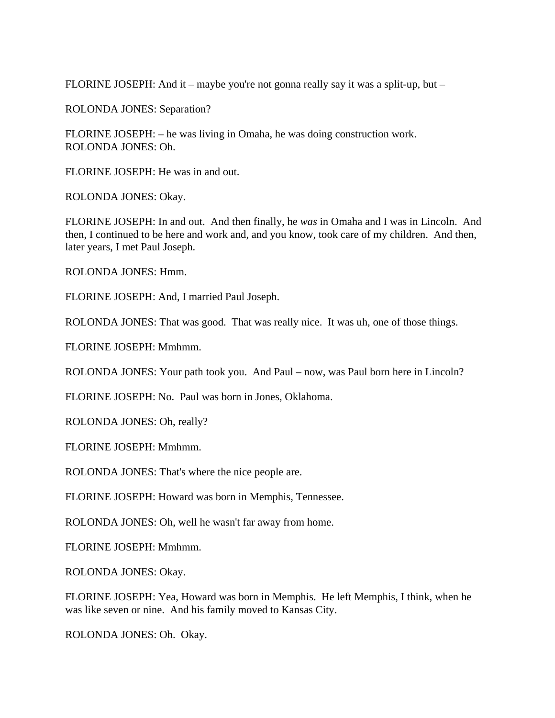FLORINE JOSEPH: And it – maybe you're not gonna really say it was a split-up, but –

ROLONDA JONES: Separation?

FLORINE JOSEPH: – he was living in Omaha, he was doing construction work. ROLONDA JONES: Oh.

FLORINE JOSEPH: He was in and out.

ROLONDA JONES: Okay.

FLORINE JOSEPH: In and out. And then finally, he *was* in Omaha and I was in Lincoln. And then, I continued to be here and work and, and you know, took care of my children. And then, later years, I met Paul Joseph.

ROLONDA JONES: Hmm.

FLORINE JOSEPH: And, I married Paul Joseph.

ROLONDA JONES: That was good. That was really nice. It was uh, one of those things.

FLORINE JOSEPH: Mmhmm.

ROLONDA JONES: Your path took you. And Paul – now, was Paul born here in Lincoln?

FLORINE JOSEPH: No. Paul was born in Jones, Oklahoma.

ROLONDA JONES: Oh, really?

FLORINE JOSEPH: Mmhmm.

ROLONDA JONES: That's where the nice people are.

FLORINE JOSEPH: Howard was born in Memphis, Tennessee.

ROLONDA JONES: Oh, well he wasn't far away from home.

FLORINE JOSEPH: Mmhmm.

ROLONDA JONES: Okay.

FLORINE JOSEPH: Yea, Howard was born in Memphis. He left Memphis, I think, when he was like seven or nine. And his family moved to Kansas City.

ROLONDA JONES: Oh. Okay.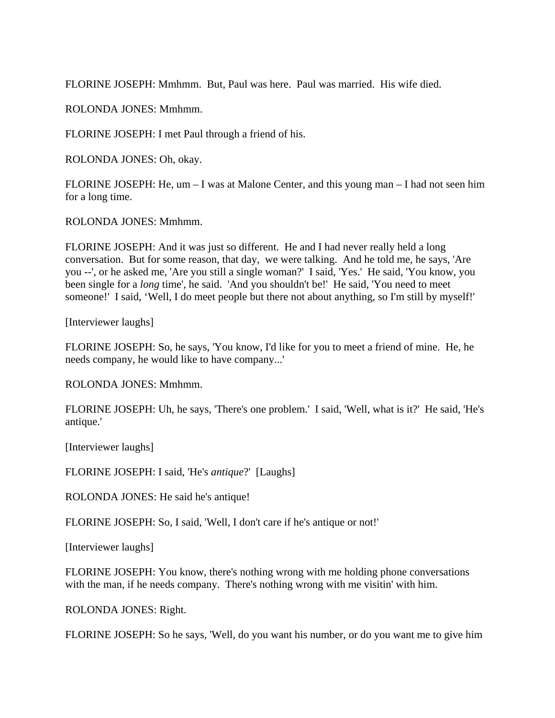FLORINE JOSEPH: Mmhmm. But, Paul was here. Paul was married. His wife died.

ROLONDA JONES: Mmhmm.

FLORINE JOSEPH: I met Paul through a friend of his.

ROLONDA JONES: Oh, okay.

FLORINE JOSEPH: He, um – I was at Malone Center, and this young man – I had not seen him for a long time.

ROLONDA JONES: Mmhmm.

FLORINE JOSEPH: And it was just so different. He and I had never really held a long conversation. But for some reason, that day, we were talking. And he told me, he says, 'Are you --', or he asked me, 'Are you still a single woman?' I said, 'Yes.' He said, 'You know, you been single for a *long* time', he said. 'And you shouldn't be!' He said, 'You need to meet someone!' I said, 'Well, I do meet people but there not about anything, so I'm still by myself!'

[Interviewer laughs]

FLORINE JOSEPH: So, he says, 'You know, I'd like for you to meet a friend of mine. He, he needs company, he would like to have company...'

ROLONDA JONES: Mmhmm.

FLORINE JOSEPH: Uh, he says, 'There's one problem.' I said, 'Well, what is it?' He said, 'He's antique.'

[Interviewer laughs]

FLORINE JOSEPH: I said, 'He's *antique*?' [Laughs]

ROLONDA JONES: He said he's antique!

FLORINE JOSEPH: So, I said, 'Well, I don't care if he's antique or not!'

[Interviewer laughs]

FLORINE JOSEPH: You know, there's nothing wrong with me holding phone conversations with the man, if he needs company. There's nothing wrong with me visitin' with him.

ROLONDA JONES: Right.

FLORINE JOSEPH: So he says, 'Well, do you want his number, or do you want me to give him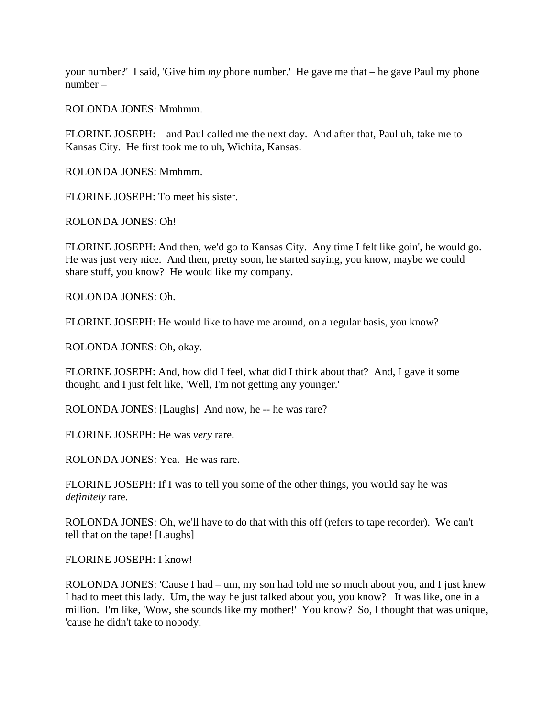your number?' I said, 'Give him *my* phone number.' He gave me that – he gave Paul my phone number –

ROLONDA JONES: Mmhmm.

FLORINE JOSEPH: – and Paul called me the next day. And after that, Paul uh, take me to Kansas City. He first took me to uh, Wichita, Kansas.

ROLONDA JONES: Mmhmm.

FLORINE JOSEPH: To meet his sister.

ROLONDA JONES: Oh!

FLORINE JOSEPH: And then, we'd go to Kansas City. Any time I felt like goin', he would go. He was just very nice. And then, pretty soon, he started saying, you know, maybe we could share stuff, you know? He would like my company.

ROLONDA JONES: Oh.

FLORINE JOSEPH: He would like to have me around, on a regular basis, you know?

ROLONDA JONES: Oh, okay.

FLORINE JOSEPH: And, how did I feel, what did I think about that? And, I gave it some thought, and I just felt like, 'Well, I'm not getting any younger.'

ROLONDA JONES: [Laughs] And now, he -- he was rare?

FLORINE JOSEPH: He was *very* rare.

ROLONDA JONES: Yea. He was rare.

FLORINE JOSEPH: If I was to tell you some of the other things, you would say he was *definitely* rare.

ROLONDA JONES: Oh, we'll have to do that with this off (refers to tape recorder). We can't tell that on the tape! [Laughs]

FLORINE JOSEPH: I know!

ROLONDA JONES: 'Cause I had – um, my son had told me *so* much about you, and I just knew I had to meet this lady. Um, the way he just talked about you, you know? It was like, one in a million. I'm like, 'Wow, she sounds like my mother!' You know? So, I thought that was unique, 'cause he didn't take to nobody.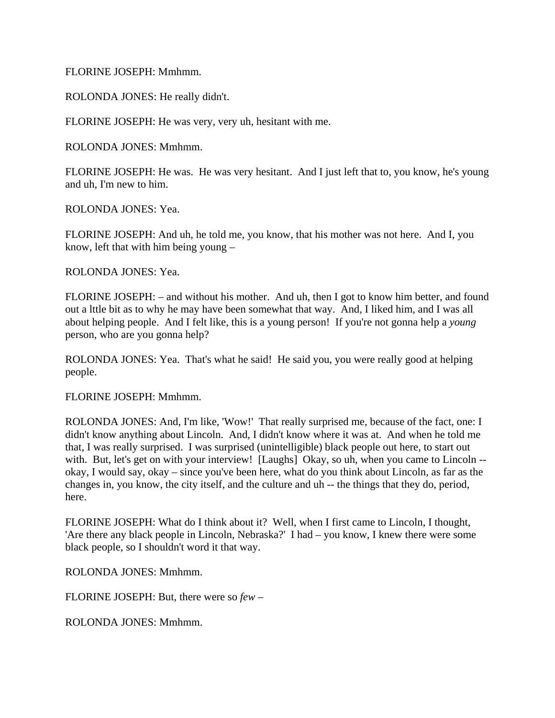FLORINE JOSEPH: Mmhmm.

ROLONDA JONES: He really didn't.

FLORINE JOSEPH: He was very, very uh, hesitant with me.

ROLONDA JONES: Mmhmm.

FLORINE JOSEPH: He was. He was very hesitant. And I just left that to, you know, he's young and uh, I'm new to him.

ROLONDA JONES: Yea.

FLORINE JOSEPH: And uh, he told me, you know, that his mother was not here. And I, you know, left that with him being young –

ROLONDA JONES: Yea.

FLORINE JOSEPH: – and without his mother. And uh, then I got to know him better, and found out a lttle bit as to why he may have been somewhat that way. And, I liked him, and I was all about helping people. And I felt like, this is a young person! If you're not gonna help a *young* person, who are you gonna help?

ROLONDA JONES: Yea. That's what he said! He said you, you were really good at helping people.

FLORINE JOSEPH: Mmhmm.

ROLONDA JONES: And, I'm like, 'Wow!' That really surprised me, because of the fact, one: I didn't know anything about Lincoln. And, I didn't know where it was at. And when he told me that, I was really surprised. I was surprised (unintelligible) black people out here, to start out with. But, let's get on with your interview! [Laughs] Okay, so uh, when you came to Lincoln -okay, I would say, okay – since you've been here, what do you think about Lincoln, as far as the changes in, you know, the city itself, and the culture and uh -- the things that they do, period, here.

FLORINE JOSEPH: What do I think about it? Well, when I first came to Lincoln, I thought, 'Are there any black people in Lincoln, Nebraska?' I had – you know, I knew there were some black people, so I shouldn't word it that way.

ROLONDA JONES: Mmhmm.

FLORINE JOSEPH: But, there were so *few* –

ROLONDA JONES: Mmhmm.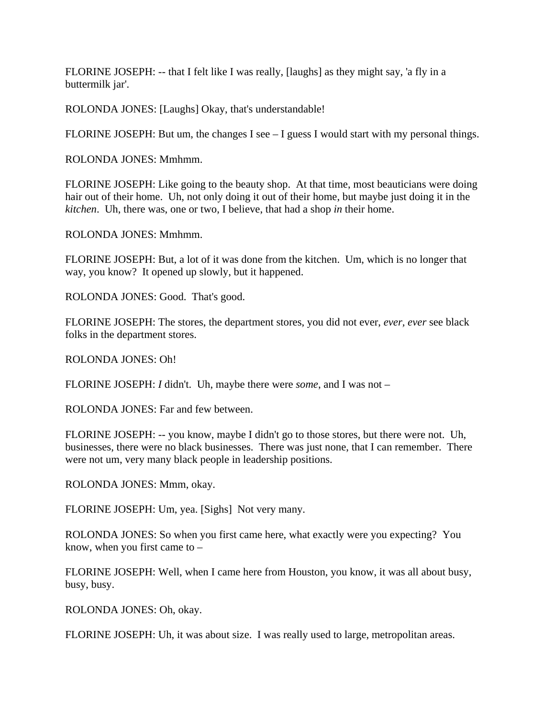FLORINE JOSEPH: -- that I felt like I was really, [laughs] as they might say, 'a fly in a buttermilk jar'.

ROLONDA JONES: [Laughs] Okay, that's understandable!

FLORINE JOSEPH: But um, the changes I see – I guess I would start with my personal things.

ROLONDA JONES: Mmhmm.

FLORINE JOSEPH: Like going to the beauty shop. At that time, most beauticians were doing hair out of their home. Uh, not only doing it out of their home, but maybe just doing it in the *kitchen*. Uh, there was, one or two, I believe, that had a shop *in* their home.

ROLONDA JONES: Mmhmm.

FLORINE JOSEPH: But, a lot of it was done from the kitchen. Um, which is no longer that way, you know? It opened up slowly, but it happened.

ROLONDA JONES: Good. That's good.

FLORINE JOSEPH: The stores, the department stores, you did not ever, *ever, ever* see black folks in the department stores.

ROLONDA JONES: Oh!

FLORINE JOSEPH: *I* didn't. Uh, maybe there were *some*, and I was not –

ROLONDA JONES: Far and few between.

FLORINE JOSEPH: -- you know, maybe I didn't go to those stores, but there were not. Uh, businesses, there were no black businesses. There was just none, that I can remember. There were not um, very many black people in leadership positions.

ROLONDA JONES: Mmm, okay.

FLORINE JOSEPH: Um, yea. [Sighs] Not very many.

ROLONDA JONES: So when you first came here, what exactly were you expecting? You know, when you first came to –

FLORINE JOSEPH: Well, when I came here from Houston, you know, it was all about busy, busy, busy.

ROLONDA JONES: Oh, okay.

FLORINE JOSEPH: Uh, it was about size. I was really used to large, metropolitan areas.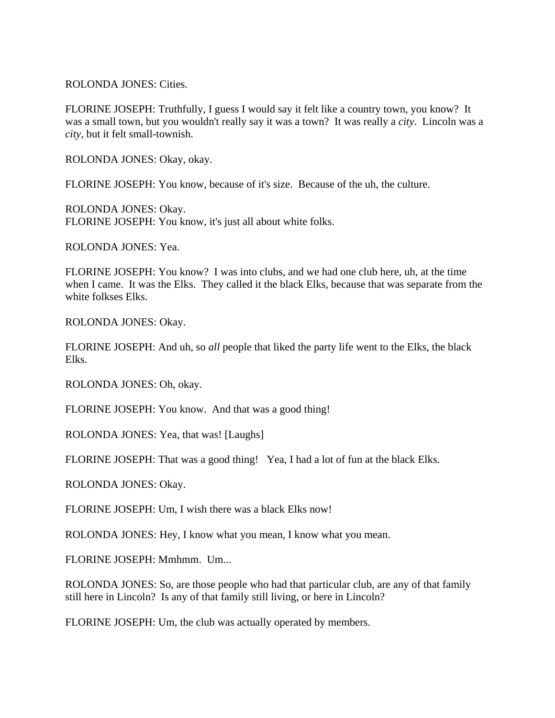ROLONDA JONES: Cities.

FLORINE JOSEPH: Truthfully, I guess I would say it felt like a country town, you know? It was a small town, but you wouldn't really say it was a town? It was really a *city*. Lincoln was a *city*, but it felt small-townish.

ROLONDA JONES: Okay, okay.

FLORINE JOSEPH: You know, because of it's size. Because of the uh, the culture.

ROLONDA JONES: Okay. FLORINE JOSEPH: You know, it's just all about white folks.

ROLONDA JONES: Yea.

FLORINE JOSEPH: You know? I was into clubs, and we had one club here, uh, at the time when I came. It was the Elks. They called it the black Elks, because that was separate from the white folkses Elks.

ROLONDA JONES: Okay.

FLORINE JOSEPH: And uh, so *all* people that liked the party life went to the Elks, the black Elks.

ROLONDA JONES: Oh, okay.

FLORINE JOSEPH: You know. And that was a good thing!

ROLONDA JONES: Yea, that was! [Laughs]

FLORINE JOSEPH: That was a good thing! Yea, I had a lot of fun at the black Elks.

ROLONDA JONES: Okay.

FLORINE JOSEPH: Um, I wish there was a black Elks now!

ROLONDA JONES: Hey, I know what you mean, I know what you mean.

FLORINE JOSEPH: Mmhmm. Um...

ROLONDA JONES: So, are those people who had that particular club, are any of that family still here in Lincoln? Is any of that family still living, or here in Lincoln?

FLORINE JOSEPH: Um, the club was actually operated by members.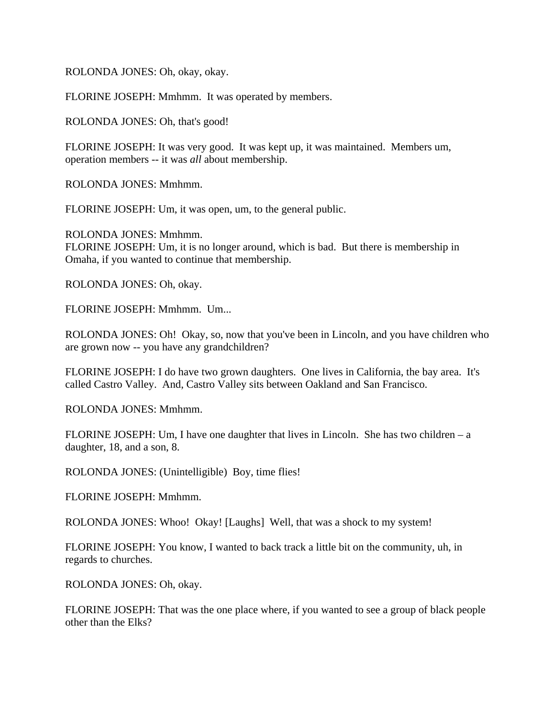ROLONDA JONES: Oh, okay, okay.

FLORINE JOSEPH: Mmhmm. It was operated by members.

ROLONDA JONES: Oh, that's good!

FLORINE JOSEPH: It was very good. It was kept up, it was maintained. Members um, operation members -- it was *all* about membership.

ROLONDA JONES: Mmhmm.

FLORINE JOSEPH: Um, it was open, um, to the general public.

ROLONDA JONES: Mmhmm. FLORINE JOSEPH: Um, it is no longer around, which is bad. But there is membership in Omaha, if you wanted to continue that membership.

ROLONDA JONES: Oh, okay.

FLORINE JOSEPH: Mmhmm. Um...

ROLONDA JONES: Oh! Okay, so, now that you've been in Lincoln, and you have children who are grown now -- you have any grandchildren?

FLORINE JOSEPH: I do have two grown daughters. One lives in California, the bay area. It's called Castro Valley. And, Castro Valley sits between Oakland and San Francisco.

ROLONDA JONES: Mmhmm.

FLORINE JOSEPH: Um, I have one daughter that lives in Lincoln. She has two children – a daughter, 18, and a son, 8.

ROLONDA JONES: (Unintelligible) Boy, time flies!

FLORINE JOSEPH: Mmhmm.

ROLONDA JONES: Whoo! Okay! [Laughs] Well, that was a shock to my system!

FLORINE JOSEPH: You know, I wanted to back track a little bit on the community, uh, in regards to churches.

ROLONDA JONES: Oh, okay.

FLORINE JOSEPH: That was the one place where, if you wanted to see a group of black people other than the Elks?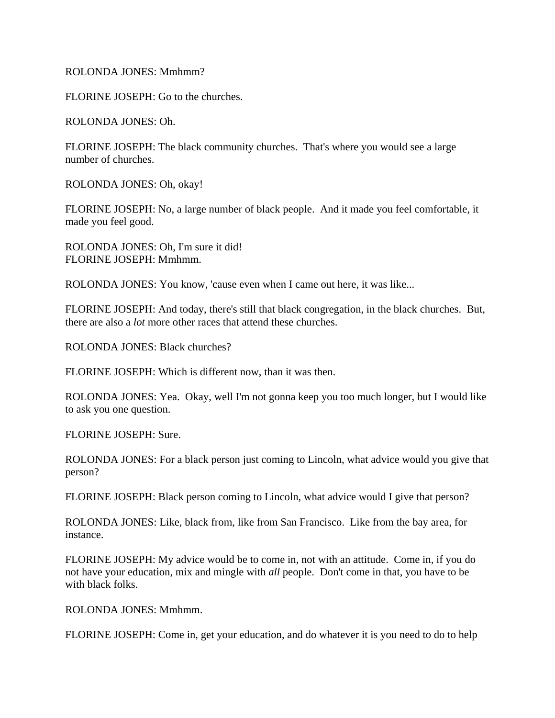## ROLONDA JONES: Mmhmm?

FLORINE JOSEPH: Go to the churches.

ROLONDA JONES: Oh.

FLORINE JOSEPH: The black community churches. That's where you would see a large number of churches.

ROLONDA JONES: Oh, okay!

FLORINE JOSEPH: No, a large number of black people. And it made you feel comfortable, it made you feel good.

ROLONDA JONES: Oh, I'm sure it did! FLORINE JOSEPH: Mmhmm.

ROLONDA JONES: You know, 'cause even when I came out here, it was like...

FLORINE JOSEPH: And today, there's still that black congregation, in the black churches. But, there are also a *lot* more other races that attend these churches.

ROLONDA JONES: Black churches?

FLORINE JOSEPH: Which is different now, than it was then.

ROLONDA JONES: Yea. Okay, well I'm not gonna keep you too much longer, but I would like to ask you one question.

FLORINE JOSEPH: Sure.

ROLONDA JONES: For a black person just coming to Lincoln, what advice would you give that person?

FLORINE JOSEPH: Black person coming to Lincoln, what advice would I give that person?

ROLONDA JONES: Like, black from, like from San Francisco. Like from the bay area, for instance.

FLORINE JOSEPH: My advice would be to come in, not with an attitude. Come in, if you do not have your education, mix and mingle with *all* people. Don't come in that, you have to be with black folks.

ROLONDA JONES: Mmhmm.

FLORINE JOSEPH: Come in, get your education, and do whatever it is you need to do to help